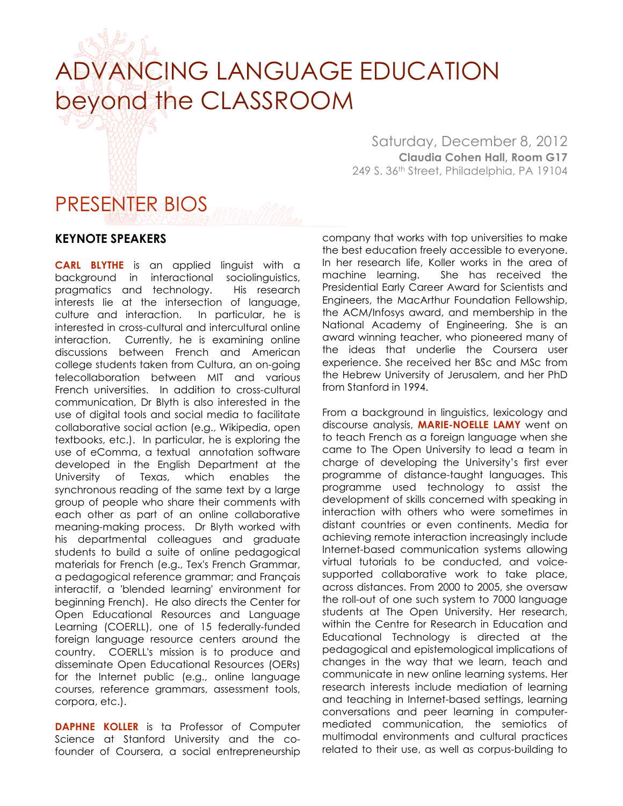## ADVANCING LANGUAGE EDUCATION beyond the CLASSROOM

## PRESENTER BIOS

## **KEYNOTE SPEAKERS**

**CARL BLYTHE** is an applied linguist with a background in interactional sociolinguistics, pragmatics and technology. His research interests lie at the intersection of language, culture and interaction. In particular, he is interested in cross-cultural and intercultural online interaction. Currently, he is examining online discussions between French and American college students taken from Cultura, an on-going telecollaboration between MIT and various French universities. In addition to cross-cultural communication, Dr Blyth is also interested in the use of digital tools and social media to facilitate collaborative social action (e.g., Wikipedia, open textbooks, etc.). In particular, he is exploring the use of eComma, a textual annotation software developed in the English Department at the University of Texas, which enables the synchronous reading of the same text by a large group of people who share their comments with each other as part of an online collaborative meaning-making process. Dr Blyth worked with his departmental colleagues and graduate students to build a suite of online pedagogical materials for French (e.g., Tex's French Grammar, a pedagogical reference grammar; and Français interactif, a 'blended learning' environment for beginning French). He also directs the Center for Open Educational Resources and Language Learning (COERLL), one of 15 federally-funded foreign language resource centers around the country. COERLL's mission is to produce and disseminate Open Educational Resources (OERs) for the Internet public (e.g., online language courses, reference grammars, assessment tools, corpora, etc.).

**DAPHNE KOLLER** is ta Professor of Computer Science at Stanford University and the cofounder of Coursera, a social entrepreneurship

Saturday, December 8, 2012 **Claudia Cohen Hall, Room G17** 249 S. 36th Street, Philadelphia, PA 19104

company that works with top universities to make the best education freely accessible to everyone. In her research life, Koller works in the area of machine learning. She has received the Presidential Early Career Award for Scientists and Engineers, the MacArthur Foundation Fellowship, the ACM/Infosys award, and membership in the National Academy of Engineering. She is an award winning teacher, who pioneered many of the ideas that underlie the Coursera user experience. She received her BSc and MSc from the Hebrew University of Jerusalem, and her PhD from Stanford in 1994.

From a background in linguistics, lexicology and discourse analysis, **MARIE-NOELLE LAMY** went on to teach French as a foreign language when she came to The Open University to lead a team in charge of developing the University's first ever programme of distance-taught languages. This programme used technology to assist the development of skills concerned with speaking in interaction with others who were sometimes in distant countries or even continents. Media for achieving remote interaction increasingly include Internet-based communication systems allowing virtual tutorials to be conducted, and voicesupported collaborative work to take place, across distances. From 2000 to 2005, she oversaw the roll-out of one such system to 7000 language students at The Open University. Her research, within the Centre for Research in Education and Educational Technology is directed at the pedagogical and epistemological implications of changes in the way that we learn, teach and communicate in new online learning systems. Her research interests include mediation of learning and teaching in Internet-based settings, learning conversations and peer learning in computermediated communication, the semiotics of multimodal environments and cultural practices related to their use, as well as corpus-building to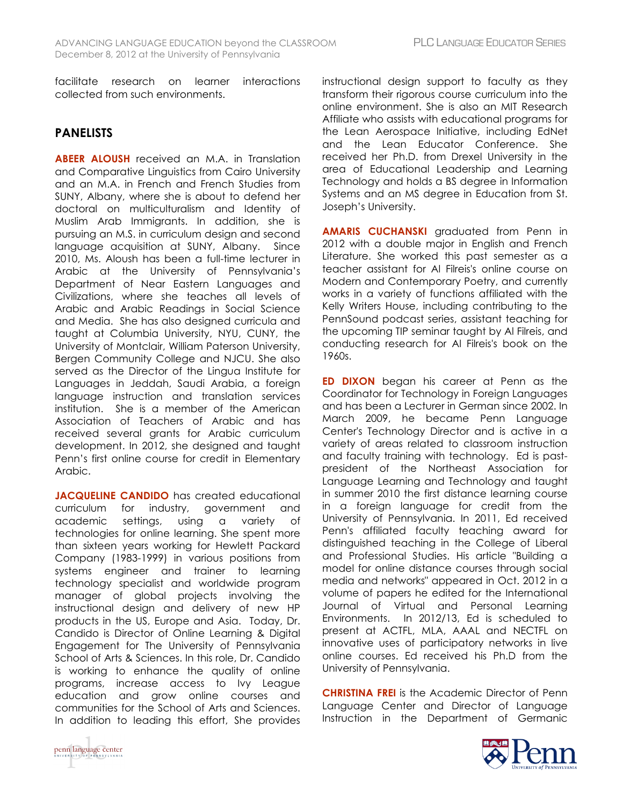facilitate research on learner interactions collected from such environments.

## **PANELISTS**

**ABEER ALOUSH** received an M.A. in Translation and Comparative Linguistics from Cairo University and an M.A. in French and French Studies from SUNY, Albany, where she is about to defend her doctoral on multiculturalism and Identity of Muslim Arab Immigrants. In addition, she is pursuing an M.S. in curriculum design and second language acquisition at SUNY, Albany. Since 2010, Ms. Aloush has been a full-time lecturer in Arabic at the University of Pennsylvania's Department of Near Eastern Languages and Civilizations, where she teaches all levels of Arabic and Arabic Readings in Social Science and Media. She has also designed curricula and taught at Columbia University, NYU, CUNY, the University of Montclair, William Paterson University, Bergen Community College and NJCU. She also served as the Director of the Lingua Institute for Languages in Jeddah, Saudi Arabia, a foreign language instruction and translation services institution. She is a member of the American Association of Teachers of Arabic and has received several grants for Arabic curriculum development. In 2012, she designed and taught Penn's first online course for credit in Elementary Arabic.

**JACQUELINE CANDIDO** has created educational curriculum for industry, government and academic settings, using a variety of technologies for online learning. She spent more than sixteen years working for Hewlett Packard Company (1983-1999) in various positions from systems engineer and trainer to learning technology specialist and worldwide program manager of global projects involving the instructional design and delivery of new HP products in the US, Europe and Asia. Today, Dr. Candido is Director of Online Learning & Digital Engagement for The University of Pennsylvania School of Arts & Sciences. In this role, Dr. Candido is working to enhance the quality of online programs, increase access to Ivy League education and grow online courses and communities for the School of Arts and Sciences. In addition to leading this effort, She provides instructional design support to faculty as they transform their rigorous course curriculum into the online environment. She is also an MIT Research Affiliate who assists with educational programs for the Lean Aerospace Initiative, including EdNet and the Lean Educator Conference. She received her Ph.D. from Drexel University in the area of Educational Leadership and Learning Technology and holds a BS degree in Information Systems and an MS degree in Education from St. Joseph's University.

**AMARIS CUCHANSKI** graduated from Penn in 2012 with a double major in English and French Literature. She worked this past semester as a teacher assistant for Al Filreis's online course on Modern and Contemporary Poetry, and currently works in a variety of functions affiliated with the Kelly Writers House, including contributing to the PennSound podcast series, assistant teaching for the upcoming TIP seminar taught by Al Filreis, and conducting research for Al Filreis's book on the 1960s.

**ED DIXON** began his career at Penn as the Coordinator for Technology in Foreign Languages and has been a Lecturer in German since 2002. In March 2009, he became Penn Language Center's Technology Director and is active in a variety of areas related to classroom instruction and faculty training with technology. Ed is pastpresident of the Northeast Association for Language Learning and Technology and taught in summer 2010 the first distance learning course in a foreign language for credit from the University of Pennsylvania. In 2011, Ed received Penn's affiliated faculty teaching award for distinguished teaching in the College of Liberal and Professional Studies. His article "Building a model for online distance courses through social media and networks" appeared in Oct. 2012 in a volume of papers he edited for the International Journal of Virtual and Personal Learning Environments. In 2012/13, Ed is scheduled to present at ACTFL, MLA, AAAL and NECTFL on innovative uses of participatory networks in live online courses. Ed received his Ph.D from the University of Pennsylvania.

**CHRISTINA FREI** is the Academic Director of Penn Language Center and Director of Language Instruction in the Department of Germanic



penn language center F PENNSYLV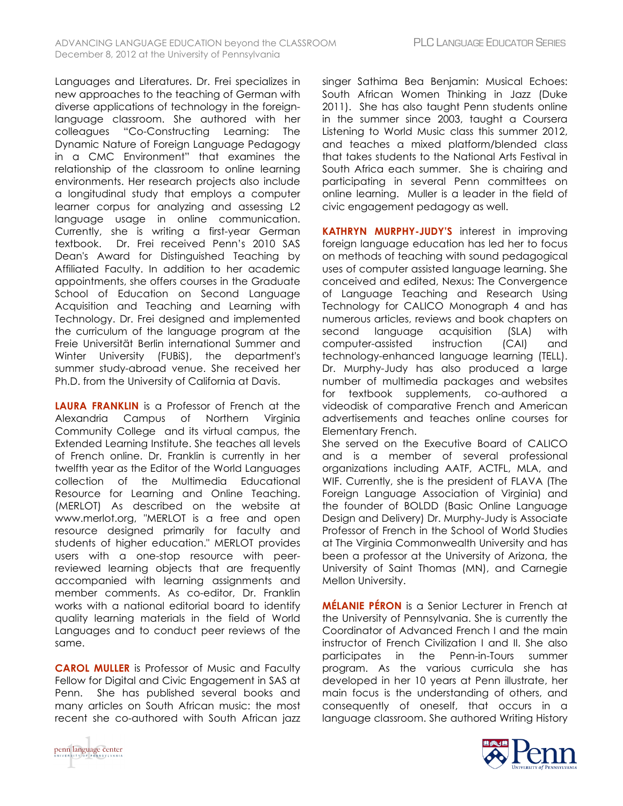Languages and Literatures. Dr. Frei specializes in new approaches to the teaching of German with diverse applications of technology in the foreignlanguage classroom. She authored with her colleagues "Co-Constructing Learning: The Dynamic Nature of Foreign Language Pedagogy in a CMC Environment" that examines the relationship of the classroom to online learning environments. Her research projects also include a longitudinal study that employs a computer learner corpus for analyzing and assessing L2 language usage in online communication. Currently, she is writing a first-year German textbook. Dr. Frei received Penn's 2010 SAS Dean's Award for Distinguished Teaching by Affiliated Faculty. In addition to her academic appointments, she offers courses in the Graduate School of Education on Second Language Acquisition and Teaching and Learning with Technology. Dr. Frei designed and implemented the curriculum of the language program at the Freie Universität Berlin international Summer and Winter University (FUBiS), the department's summer study-abroad venue. She received her Ph.D. from the University of California at Davis.

**LAURA FRANKLIN** is a Professor of French at the Alexandria Campus of Northern Virginia Community College and its virtual campus, the Extended Learning Institute. She teaches all levels of French online. Dr. Franklin is currently in her twelfth year as the Editor of the World Languages collection of the Multimedia Educational Resource for Learning and Online Teaching. (MERLOT) As described on the website at www.merlot.org, "MERLOT is a free and open resource designed primarily for faculty and students of higher education." MERLOT provides users with a one-stop resource with peerreviewed learning objects that are frequently accompanied with learning assignments and member comments. As co-editor, Dr. Franklin works with a national editorial board to identify quality learning materials in the field of World Languages and to conduct peer reviews of the same.

**CAROL MULLER** is Professor of Music and Faculty Fellow for Digital and Civic Engagement in SAS at Penn. She has published several books and many articles on South African music: the most recent she co-authored with South African jazz singer Sathima Bea Benjamin: Musical Echoes: South African Women Thinking in Jazz (Duke 2011). She has also taught Penn students online in the summer since 2003, taught a Coursera Listening to World Music class this summer 2012, and teaches a mixed platform/blended class that takes students to the National Arts Festival in South Africa each summer. She is chairing and participating in several Penn committees on online learning. Muller is a leader in the field of civic engagement pedagogy as well.

**KATHRYN MURPHY-JUDY'S** interest in improving foreign language education has led her to focus on methods of teaching with sound pedagogical uses of computer assisted language learning. She conceived and edited, Nexus: The Convergence of Language Teaching and Research Using Technology for CALICO Monograph 4 and has numerous articles, reviews and book chapters on second language acquisition (SLA) with computer-assisted instruction (CAI) and technology-enhanced language learning (TELL). Dr. Murphy-Judy has also produced a large number of multimedia packages and websites for textbook supplements, co-authored a videodisk of comparative French and American advertisements and teaches online courses for Elementary French.

She served on the Executive Board of CALICO and is a member of several professional organizations including AATF, ACTFL, MLA, and WIF. Currently, she is the president of FLAVA (The Foreign Language Association of Virginia) and the founder of BOLDD (Basic Online Language Design and Delivery) Dr. Murphy-Judy is Associate Professor of French in the School of World Studies at The Virginia Commonwealth University and has been a professor at the University of Arizona, the University of Saint Thomas (MN), and Carnegie Mellon University.

**MÉLANIE PÉRON** is a Senior Lecturer in French at the University of Pennsylvania. She is currently the Coordinator of Advanced French I and the main instructor of French Civilization I and II. She also participates in the Penn-in-Tours summer program. As the various curricula she has developed in her 10 years at Penn illustrate, her main focus is the understanding of others, and consequently of oneself, that occurs in a language classroom. She authored Writing History